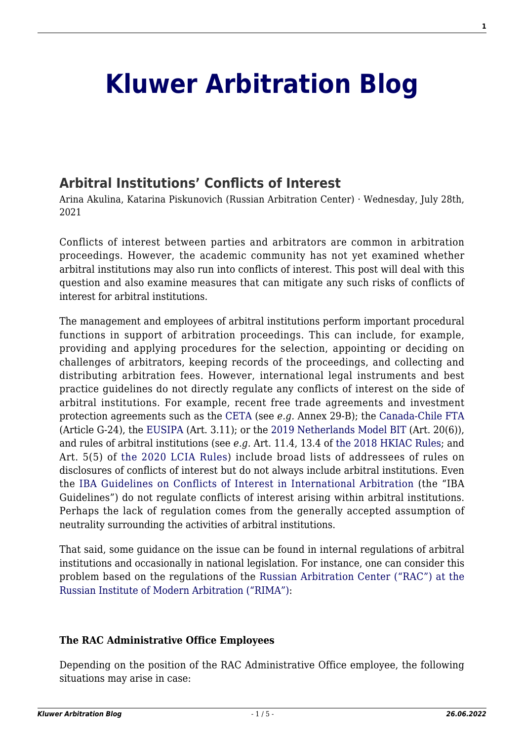# **[Kluwer Arbitration Blog](http://arbitrationblog.kluwerarbitration.com/)**

## **[Arbitral Institutions' Conflicts of Interest](http://arbitrationblog.kluwerarbitration.com/2021/07/28/arbitral-institutions-conflicts-of-interest/)**

Arina Akulina, Katarina Piskunovich (Russian Arbitration Center) · Wednesday, July 28th, 2021

Conflicts of interest between parties and arbitrators are common in arbitration proceedings. However, the academic community has not yet examined whether arbitral institutions may also run into conflicts of interest. This post will deal with this question and also examine measures that can mitigate any such risks of conflicts of interest for arbitral institutions.

The management and employees of arbitral institutions perform important procedural functions in support of arbitration proceedings. This can include, for example, providing and applying procedures for the selection, appointing or deciding on challenges of arbitrators, keeping records of the proceedings, and collecting and distributing arbitration fees. However, international legal instruments and best practice guidelines do not directly regulate any conflicts of interest on the side of arbitral institutions. For example, recent free trade agreements and investment protection agreements such as the [CETA](https://eur-lex.europa.eu/legal-content/GA/TXT/?uri=CELEX:22017A0114(01)) (see *e.g.* Annex 29-B); the [Canada-Chile FTA](https://www.international.gc.ca/trade-commerce/trade-agreements-accords-commerciaux/agr-acc/chile-chili/fta-ale/2017_Amend_Modif-App1-Chap-G.aspx?lang=eng.) (Article G-24), the [EUSIPA](https://eur-lex.europa.eu/resource.html?uri=cellar:55d54e18-42e0-11e8-b5fe-01aa75ed71a1.0002.02/DOC_2&format=PDF#page=49) (Art. 3.11); or the [2019 Netherlands Model BIT](https://investmentpolicy.unctad.org/international-investment-agreements/treaty-files/5832/download) (Art. 20(6)), and rules of arbitral institutions (see *e.g.* Art. 11.4, 13.4 of [the 2018 HKIAC Rules](https://www.hkiac.org/sites/default/files/ck_filebrowser/PDF/arbitration/2018_hkiac_rules.pdf); and Art. 5(5) of [the 2020 LCIA Rules\)](https://www.lcia.org/Dispute_Resolution_Services/lcia-arbitration-rules-2020.aspx#Article%2010) include broad lists of addressees of rules on disclosures of conflicts of interest but do not always include arbitral institutions. Even the [IBA Guidelines on Conflicts of Interest in International Arbitration](https://www.ibanet.org/MediaHandler?id=e2fe5e72-eb14-4bba-b10d-d33dafee8918) (the "IBA Guidelines") do not regulate conflicts of interest arising within arbitral institutions. Perhaps the lack of regulation comes from the generally accepted assumption of neutrality surrounding the activities of arbitral institutions.

That said, some guidance on the issue can be found in internal regulations of arbitral institutions and occasionally in national legislation. For instance, one can consider this problem based on the regulations of the [Russian Arbitration Center \("RAC"\) at the](https://centerarbitr.ru/en/arbitration-rules/) [Russian Institute of Modern Arbitration \("RIMA"\):](https://centerarbitr.ru/en/arbitration-rules/)

#### **The RAC Administrative Office Employees**

Depending on the position of the RAC Administrative Office employee, the following situations may arise in case: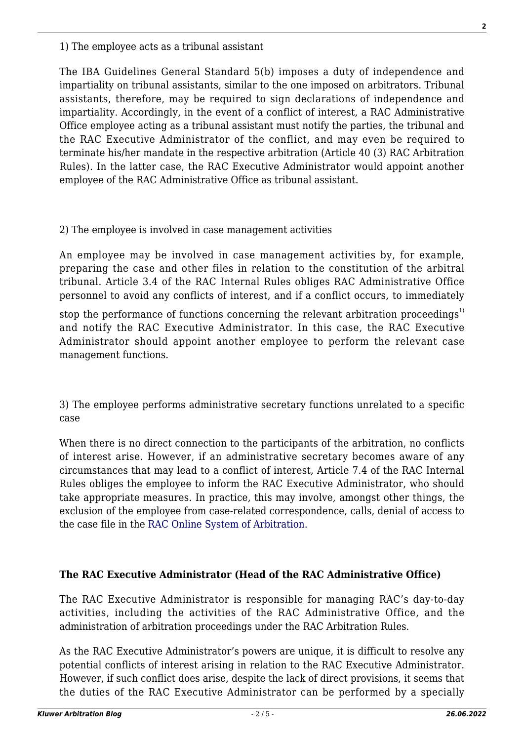1) The employee acts as a tribunal assistant

The IBA Guidelines General Standard 5(b) imposes a duty of independence and impartiality on tribunal assistants, similar to the one imposed on arbitrators. Tribunal assistants, therefore, may be required to sign declarations of independence and impartiality. Accordingly, in the event of a conflict of interest, a RAC Administrative Office employee acting as a tribunal assistant must notify the parties, the tribunal and the RAC Executive Administrator of the conflict, and may even be required to terminate his/her mandate in the respective arbitration (Article 40 (3) RAC Arbitration Rules). In the latter case, the RAC Executive Administrator would appoint another employee of the RAC Administrative Office as tribunal assistant.

#### 2) The employee is involved in case management activities

An employee may be involved in case management activities by, for example, preparing the case and other files in relation to the constitution of the arbitral tribunal. Article 3.4 of the RAC Internal Rules obliges RAC Administrative Office personnel to avoid any conflicts of interest, and if a conflict occurs, to immediately

stop the performance of functions concerning the relevant arbitration proceedings<sup>1)</sup> and notify the RAC Executive Administrator. In this case, the RAC Executive Administrator should appoint another employee to perform the relevant case management functions.

3) The employee performs administrative secretary functions unrelated to a specific case

When there is no direct connection to the participants of the arbitration, no conflicts of interest arise. However, if an administrative secretary becomes aware of any circumstances that may lead to a conflict of interest, Article 7.4 of the RAC Internal Rules obliges the employee to inform the RAC Executive Administrator, who should take appropriate measures. In practice, this may involve, amongst other things, the exclusion of the employee from case-related correspondence, calls, denial of access to the case file in the [RAC Online System of Arbitration](https://my.centerarbitr.ru/landing/?locale=en).

#### **The RAC Executive Administrator (Head of the RAC Administrative Office)**

The RAC Executive Administrator is responsible for managing RAC's day-to-day activities, including the activities of the RAC Administrative Office, and the administration of arbitration proceedings under the RAC Arbitration Rules.

As the RAC Executive Administrator's powers are unique, it is difficult to resolve any potential conflicts of interest arising in relation to the RAC Executive Administrator. However, if such conflict does arise, despite the lack of direct provisions, it seems that the duties of the RAC Executive Administrator can be performed by a specially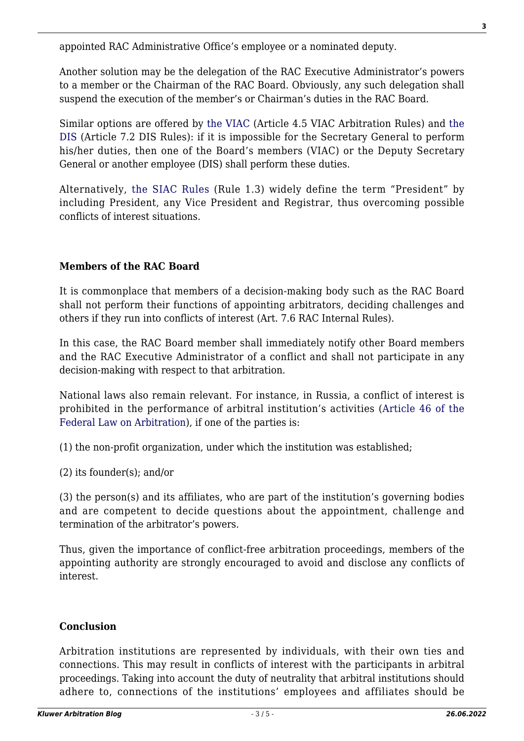appointed RAC Administrative Office's employee or a nominated deputy.

Another solution may be the delegation of the RAC Executive Administrator's powers to a member or the Chairman of the RAC Board. Obviously, any such delegation shall suspend the execution of the member's or Chairman's duties in the RAC Board.

Similar options are offered by [the VIAC](https://www.viac.eu/en/arbitration/content/vienna-rules-2018-online#TheSecretaryGeneralandtheSecretariat) (Article 4.5 VIAC Arbitration Rules) and [the](https://www.disarb.org/en/tools-for-dis-proceedings/dis-rules) [DIS](https://www.disarb.org/en/tools-for-dis-proceedings/dis-rules) (Article 7.2 DIS Rules): if it is impossible for the Secretary General to perform his/her duties, then one of the Board's members (VIAC) or the Deputy Secretary General or another employee (DIS) shall perform these duties*.*

Alternatively, [the SIAC Rules](https://siac.org.sg/our-rules/rules/siac-rules-2016) (Rule 1.3) widely define the term "President" by including President, any Vice President and Registrar, thus overcoming possible conflicts of interest situations.

### **Members of the RAC Board**

It is commonplace that members of a decision-making body such as the RAC Board shall not perform their functions of appointing arbitrators, deciding challenges and others if they run into conflicts of interest (Art. 7.6 RAC Internal Rules).

In this case, the RAC Board member shall immediately notify other Board members and the RAC Executive Administrator of a conflict and shall not participate in any decision-making with respect to that arbitration.

National laws also remain relevant. For instance, in Russia, a conflict of interest is prohibited in the performance of arbitral institution's activities ([Article 46 of the](https://centerarbitr.ru/wp-content/uploads/2019/03/Federal-Law-On-Arbitration_as-amended.pdf) [Federal Law on Arbitration](https://centerarbitr.ru/wp-content/uploads/2019/03/Federal-Law-On-Arbitration_as-amended.pdf)), if one of the parties is:

(1) the non-profit organization, under which the institution was established;

(2) its founder(s); and/or

(3) the person(s) and its affiliates, who are part of the institution's governing bodies and are competent to decide questions about the appointment, challenge and termination of the arbitrator's powers.

Thus, given the importance of conflict-free arbitration proceedings, members of the appointing authority are strongly encouraged to avoid and disclose any conflicts of interest.

#### **Conclusion**

Arbitration institutions are represented by individuals, with their own ties and connections. This may result in conflicts of interest with the participants in arbitral proceedings. Taking into account the duty of neutrality that arbitral institutions should adhere to, connections of the institutions' employees and affiliates should be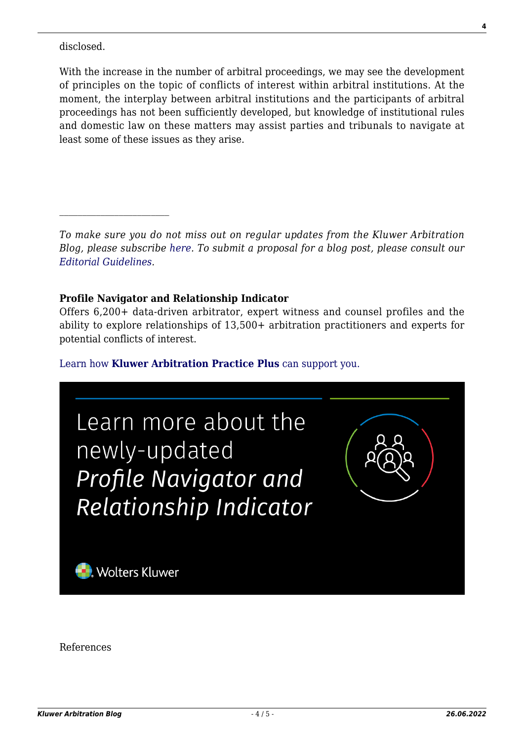disclosed.

 $\mathcal{L}_\text{max}$ 

With the increase in the number of arbitral proceedings, we may see the development of principles on the topic of conflicts of interest within arbitral institutions. At the moment, the interplay between arbitral institutions and the participants of arbitral proceedings has not been sufficiently developed, but knowledge of institutional rules and domestic law on these matters may assist parties and tribunals to navigate at least some of these issues as they arise.

*To make sure you do not miss out on regular updates from the Kluwer Arbitration Blog, please subscribe [here](http://arbitrationblog.kluwerarbitration.com/newsletter/). To submit a proposal for a blog post, please consult our [Editorial Guidelines.](http://arbitrationblog.kluwerarbitration.com/editorial-guidelines/)*

#### **Profile Navigator and Relationship Indicator**

Offers 6,200+ data-driven arbitrator, expert witness and counsel profiles and the ability to explore relationships of 13,500+ arbitration practitioners and experts for potential conflicts of interest.

[Learn how](https://www.wolterskluwer.com/en/solutions/kluwerarbitration/practiceplus?utm_source=arbitrationblog&utm_medium=articleCTA&utm_campaign=article-banner) **[Kluwer Arbitration Practice Plus](https://www.wolterskluwer.com/en/solutions/kluwerarbitration/practiceplus?utm_source=arbitrationblog&utm_medium=articleCTA&utm_campaign=article-banner)** [can support you.](https://www.wolterskluwer.com/en/solutions/kluwerarbitration/practiceplus?utm_source=arbitrationblog&utm_medium=articleCTA&utm_campaign=article-banner)



References